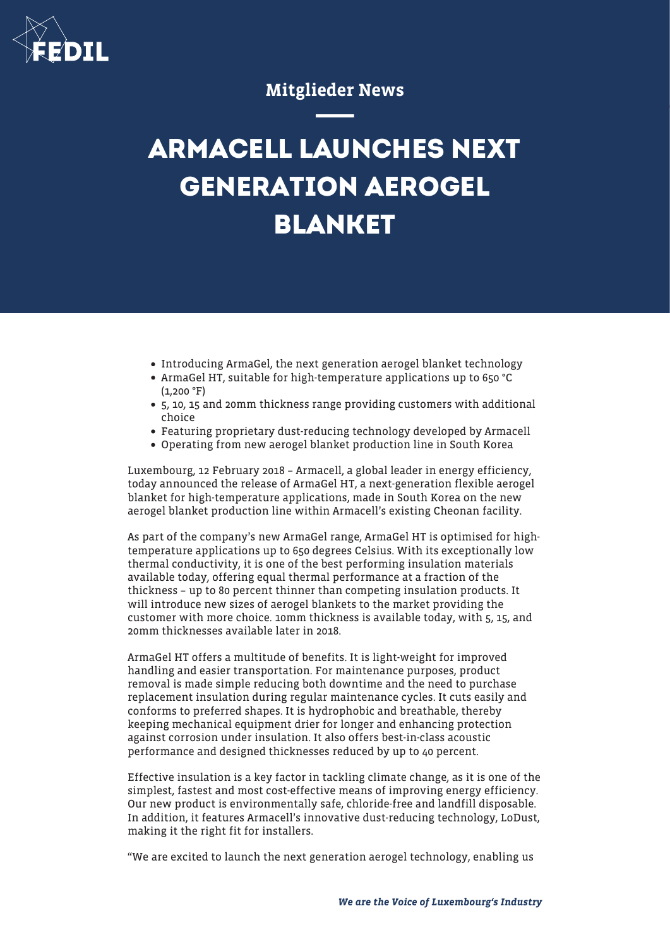

## Mitglieder News

## **ARMACELL LAUNCHES NEXT GENERATION AEROGEL BLANKET**

Introducing ArmaGel, the next generation aerogel blanket technology

## ArmaGel HT, suitable for high-temperature applications up to 650 °C  $(1.200 \text{ °F})$

- 5, 10, 15 and 20mm thickness range providing customers with additional choice
- Featuring proprietary dust-reducing technology developed by Armacell
- Operating from new aerogel blanket production line in South Korea

Luxembourg, 12 February 2018 – Armacell, a global leader in energy efficiency, today announced the release of ArmaGel HT, a next-generation flexible aerogel blanket for high-temperature applications, made in South Korea on the new aerogel blanket production line within Armacell's existing Cheonan facility.

As part of the company's new ArmaGel range, ArmaGel HT is optimised for hightemperature applications up to 650 degrees Celsius. With its exceptionally low thermal conductivity, it is one of the best performing insulation materials available today, offering equal thermal performance at a fraction of the thickness – up to 80 percent thinner than competing insulation products. It will introduce new sizes of aerogel blankets to the market providing the customer with more choice. 10mm thickness is available today, with 5, 15, and 20mm thicknesses available later in 2018.

ArmaGel HT offers a multitude of benefits. It is light-weight for improved handling and easier transportation. For maintenance purposes, product removal is made simple reducing both downtime and the need to purchase replacement insulation during regular maintenance cycles. It cuts easily and conforms to preferred shapes. It is hydrophobic and breathable, thereby keeping mechanical equipment drier for longer and enhancing protection against corrosion under insulation. It also offers best-in-class acoustic performance and designed thicknesses reduced by up to 40 percent.

Effective insulation is a key factor in tackling climate change, as it is one of the simplest, fastest and most cost-effective means of improving energy efficiency. Our new product is environmentally safe, chloride-free and landfill disposable. In addition, it features Armacell's innovative dust-reducing technology, LoDust, making it the right fit for installers.

"We are excited to launch the next generation aerogel technology, enabling us